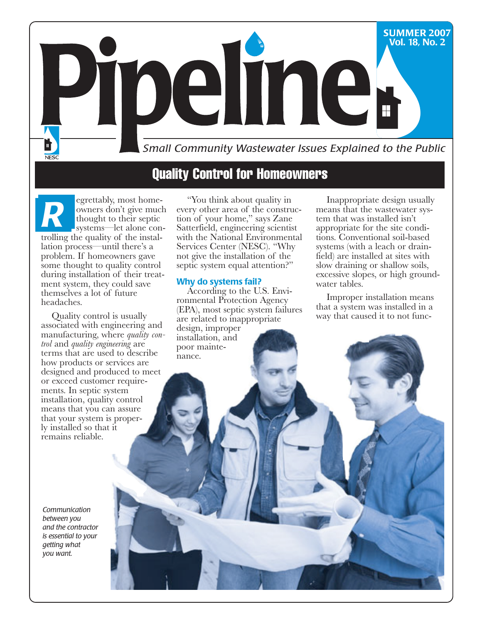

egrettably, most homeowners don't give much thought to their septic systems—let alone controlling the quality of the installation process—until there's a problem. If homeowners gave some thought to quality control during installation of their treatment system, they could save themselves a lot of future headaches. *R*

Quality control is usually associated with engineering and manufacturing, where *quality control* and *quality engineering* are terms that are used to describe how products or services are designed and produced to meet or exceed customer requirements. In septic system installation, quality control means that you can assure that your system is properly installed so that it remains reliable.

*Communication between you and the contractor is essential to your getting what you want.*

"You think about quality in every other area of the construction of your home," says Zane Satterfield, engineering scientist with the National Environmental Services Center (NESC). "Why not give the installation of the septic system equal attention?"

#### **Why do systems fail?**

According to the U.S. Environmental Protection Agency (EPA), most septic system failures are related to inappropriate design, improper installation, and poor maintenance.

Inappropriate design usually means that the wastewater system that was installed isn't appropriate for the site conditions. Conventional soil-based systems (with a leach or drain- field) are installed at sites with slow draining or shallow soils, excessive slopes, or high groundwater tables.

Improper installation means that a system was installed in a way that caused it to not func-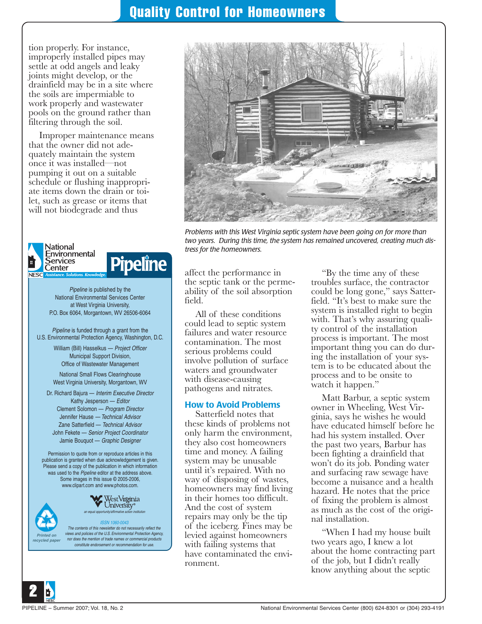tion properly. For instance, improperly installed pipes may settle at odd angels and leaky joints might develop, or the drainfield may be in a site where the soils are impermiable to work properly and wastewater pools on the ground rather than filtering through the soil.

Improper maintenance means that the owner did not adequately maintain the system once it was installed—not pumping it out on a suitable schedule or flushing inappropriate items down the drain or toilet, such as grease or items that will not biodegrade and thus



National Environmental Services Center at West Virginia University, P.O. Box 6064, Morgantown, WV 26506-6064

Pipeline is funded through a grant from the U.S. Environmental Protection Agency, Washington, D.C.

> William (Bill) Hasselkus — Project Officer Municipal Support Division, Office of Wastewater Management

National Small Flows Clearinghouse West Virginia University, Morgantown, WV

Dr. Richard Bajura — Interim Executive Director Kathy Jesperson — Editor Clement Solomon — Program Director Jennifer Hause — Technical Advisor Zane Satterfield — Technical Advisor John Fekete — Senior Project Coordinator Jamie Bouquot — Graphic Designer

Permission to quote from or reproduce articles in this publication is granted when due acknowledgement is given. Please send a copy of the publication in which information was used to the *Pipeline* editor at the address above. Some images in this issue © 2005-2006, www.clipart.com and www.photos.com.



ISSN 1060-0043 The contents of this newsletter do not necessarily reflect the views and policies of the U.S. Environmental Protection Agency, nor does the mention of trade names or commercial products constitute endorsement or recommendation for use.



*Problems with this West Virginia septic system have been going on for more than two years. During this time, the system has remained uncovered, creating much distress for the homeowners.*

affect the performance in the septic tank or the perme- ability of the soil absorption field.

All of these conditions could lead to septic system failures and water resource contamination. The most serious problems could involve pollution of surface waters and groundwater with disease-causing pathogens and nitrates.

#### **How to Avoid Problems**

Satterfield notes that these kinds of problems not only harm the environment, they also cost homeowners time and money. A failing system may be unusable until it's repaired. With no way of disposing of wastes, homeowners may find living in their homes too difficult. And the cost of system repairs may only be the tip of the iceberg. Fines may be levied against homeowners with failing systems that have contaminated the environment.

"By the time any of these troubles surface, the contractor could be long gone," says Satterfield. "It's best to make sure the system is installed right to begin with. That's why assuring quali-<br>ty control of the installation process is important. The most important thing you can do during the installation of your system is to be educated about the process and to be onsite to watch it happen."

Matt Barbur, a septic system owner in Wheeling, West Virginia, says he wishes he would have educated himself before he had his system installed. Over the past two years, Barbur has been fighting a drainfield that won't do its job. Ponding water and surfacing raw sewage have become a nuisance and a health hazard. He notes that the price of fixing the problem is almost as much as the cost of the original installation.

"When I had my house built two years ago, I knew a lot about the home contracting part of the job, but I didn't really know anything about the septic



**Printed on recycled paper**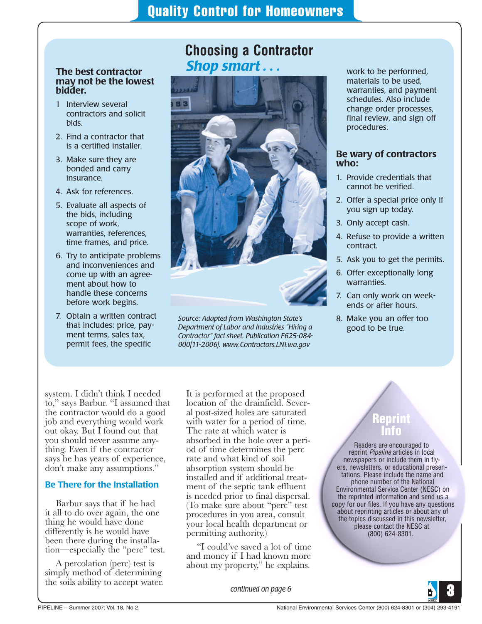**Choosing a Contractor**

### **The best contractor may not be the lowest bidder.**

- 1 Interview several contractors and solicit bids.
- 2. Find a contractor that is a certified installer.
- 3. Make sure they are bonded and carry insurance.
- 4. Ask for references.
- 5. Evaluate all aspects of the bids, including scope of work, warranties, references, time frames, and price.
- 6. Try to anticipate problems and inconveniences and come up with an agreement about how to handle these concerns before work begins.
- 7. Obtain a written contract that includes: price, payment terms, sales tax, permit fees, the specific



*Source: Adapted from Washington State's Department of Labor and Industries "Hiring a Contractor" fact sheet. Publication F625-084- 000[11-2006]. www.Contractors.LNI.wa.gov*

work to be performed, materials to be used, warranties, and payment schedules. Also include change order processes, final review, and sign off procedures.

#### **Be wary of contractors who:**

- 1. Provide credentials that cannot be verified.
- 2. Offer a special price only if you sign up today.
- 3. Only accept cash.
- 4. Refuse to provide a written contract.
- 5. Ask you to get the permits.
- 6. Offer exceptionally long warranties.
- 7. Can only work on weekends or after hours.
- 8. Make you an offer too good to be true.

system. I didn't think I needed to," says Barbur. "I assumed that the contractor would do a good job and everything would work out okay. But I found out that you should never assume anything. Even if the contractor says he has years of experience, don't make any assumptions."

### **Be There for the Installation**

Barbur says that if he had it all to do over again, the one thing he would have done differently is he would have been there during the installation—especially the "perc" test.

A percolation (perc) test is simply method of determining the soils ability to accept water. It is performed at the proposed location of the drainfield. Several post-sized holes are saturated with water for a period of time. The rate at which water is absorbed in the hole over a period of time determines the perc rate and what kind of soil absorption system should be installed and if additional treatment of the septic tank effluent is needed prior to final dispersal. (To make sure about "perc" test procedures in you area, consult your local health department or permitting authority.)

"I could've saved a lot of time and money if I had known more about my property," he explains.

*continued on page 6*

# **Reprint Info**

Readers are encouraged to reprint *Pipeline* articles in local newspapers or include them in flyers, newsletters, or educational presentations. Please include the name and phone number of the National Environmental Service Center (NESC) on the reprinted information and send us a copy for our files. If you have any questions about reprinting articles or about any of the topics discussed in this newsletter, please contact the NESC at (800) 624-8301.

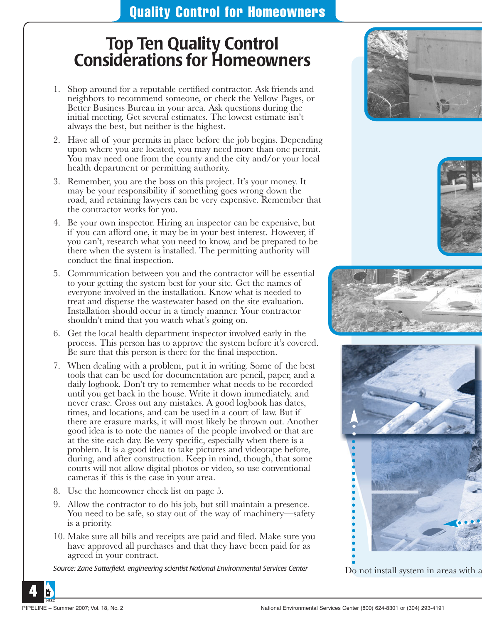# **Top Ten Quality Control Considerations for Homeowners**

- 1. Shop around for a reputable certified contractor. Ask friends and neighbors to recommend someone, or check the Yellow Pages, or Better Business Bureau in your area. Ask questions during the initial meeting. Get several estimates. The lowest estimate isn't always the best, but neither is the highest.
- 2. Have all of your permits in place before the job begins. Depending upon where you are located, you may need more than one permit. You may need one from the county and the city and/or your local health department or permitting authority.
- 3. Remember, you are the boss on this project. It's your money. It may be your responsibility if something goes wrong down the road, and retaining lawyers can be very expensive. Remember that the contractor works for you.
- 4. Be your own inspector. Hiring an inspector can be expensive, but if you can afford one, it may be in your best interest. However, if you can't, research what you need to know, and be prepared to be there when the system is installed. The permitting authority will conduct the final inspection.
- 5. Communication between you and the contractor will be essential to your getting the system best for your site. Get the names of everyone involved in the installation. Know what is needed to treat and disperse the wastewater based on the site evaluation. Installation should occur in a timely manner. Your contractor shouldn't mind that you watch what's going on.
- 6. Get the local health department inspector involved early in the process. This person has to approve the system before it's covered. Be sure that this person is there for the final inspection.
- 7. When dealing with a problem, put it in writing. Some of the best tools that can be used for documentation are pencil, paper, and a daily logbook. Don't try to remember what needs to be recorded until you get back in the house. Write it down immediately, and never erase. Cross out any mistakes. A good logbook has dates, times, and locations, and can be used in a court of law. But if there are erasure marks, it will most likely be thrown out. Another good idea is to note the names of the people involved or that are at the site each day. Be very specific, especially when there is a problem. It is a good idea to take pictures and videotape before, during, and after construction. Keep in mind, though, that some courts will not allow digital photos or video, so use conventional cameras if this is the case in your area.
- 8. Use the homeowner check list on page 5.
- 9. Allow the contractor to do his job, but still maintain a presence. You need to be safe, so stay out of the way of machinery—safety is a priority.
- 10. Make sure all bills and receipts are paid and filed. Make sure you have approved all purchases and that they have been paid for as agreed in your contract.

*Source: Zane Satterfield, engineering scientist National Environmental Services Center* Do not install system in areas with a









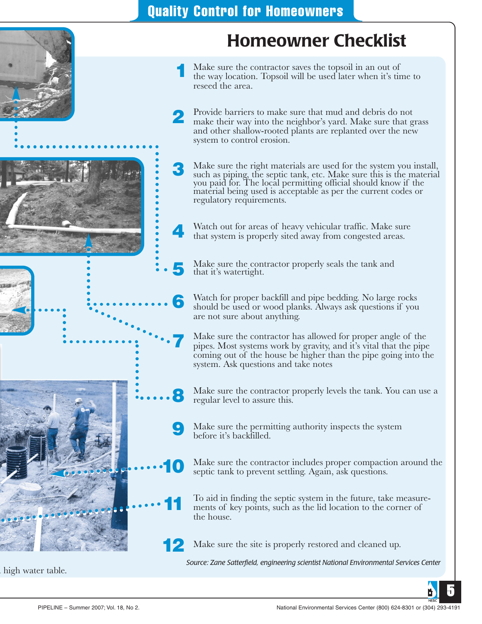4

6

7

10

11

# **Homeowner Checklist**

- Make sure the contractor saves the topsoil in an out of the way location. Topsoil will be used later when it's time to reseed the area. 1
- Provide barriers to make sure that mud and debris do not make their way into the neighbor's yard. Make sure that grass and other shallow-rooted plants are replanted over the new system to control erosion. 2
- Make sure the right materials are used for the system you install, such as piping, the septic tank, etc. Make sure this is the material you paid for. The local permitting official should know if the material being used is acceptable as per the current codes or regulatory requirements. 3
	- Watch out for areas of heavy vehicular traffic. Make sure that system is properly sited away from congested areas.
- Make sure the contractor properly seals the tank and that it's watertight. 5
	- Watch for proper backfill and pipe bedding. No large rocks should be used or wood planks. Always ask questions if you are not sure about anything.
	- Make sure the contractor has allowed for proper angle of the pipes. Most systems work by gravity, and it's vital that the pipe coming out of the house be higher than the pipe going into the system. Ask questions and take notes
- Make sure the contractor properly levels the tank. You can use a regular level to assure this. 8
- Make sure the permitting authority inspects the system before it's backfilled. 9
	- Make sure the contractor includes proper compaction around the septic tank to prevent settling. Again, ask questions.
	- To aid in finding the septic system in the future, take measurements of key points, such as the lid location to the corner of the house.
- Make sure the site is properly restored and cleaned up. 12

*Source: Zane Satterfield, engineering scientist National Environmental Services Center*



a high water table.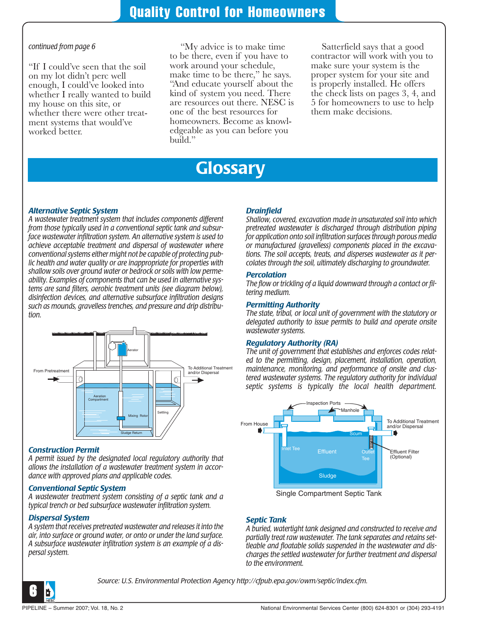#### *continued from page 6*

"If I could've seen that the soil on my lot didn't perc well enough, I could've looked into whether I really wanted to build my house on this site, or whether there were other treatment systems that would've worked better.

"My advice is to make time to be there, even if you have to work around your schedule, make time to be there," he says. "And educate yourself about the kind of system you need. There are resources out there. NESC is one of the best resources for homeowners. Become as knowledgeable as you can before you build."

Satterfield says that a good contractor will work with you to make sure your system is the proper system for your site and is properly installed. He offers the check lists on pages 3, 4, and 5 for homeowners to use to help them make decisions.

# **Glossary**

#### *Alternative Septic System*

*A wastewater treatment system that includes components different from those typically used in a conventional septic tank and subsurface wastewater infiltration system. An alternative system is used to achieve acceptable treatment and dispersal of wastewater where conventional systems either might not be capable of protecting public health and water quality or are inappropriate for properties with shallow soils over ground water or bedrock or soils with low permeability. Examples of components that can be used in alternative systems are sand filters, aerobic treatment units (see diagram below), disinfection devices, and alternative subsurface infiltration designs such as mounds, gravelless trenches, and pressure and drip distribution.*



#### *Construction Permit*

*A permit issued by the designated local regulatory authority that allows the installation of a wastewater treatment system in accordance with approved plans and applicable codes.*

#### *Conventional Septic System*

*A wastewater treatment system consisting of a septic tank and a typical trench or bed subsurface wastewater infiltration system.*

#### *Dispersal System*

*A system that receives pretreated wastewater and releases it into the air, into surface or ground water, or onto or under the land surface. A subsurface wastewater infiltration system is an example of a dispersal system.*

#### *Drainfield*

*Shallow, covered, excavation made in unsaturated soil into which pretreated wastewater is discharged through distribution piping for application onto soil infiltration surfaces through porous media or manufactured (gravelless) components placed in the excavations. The soil accepts, treats, and disperses wastewater as it percolates through the soil, ultimately discharging to groundwater.*

#### *Percolation*

*The flow or trickling of a liquid downward through a contact or filtering medium.*

#### *Permitting Authority*

*The state, tribal, or local unit of government with the statutory or delegated authority to issue permits to build and operate onsite wastewater systems.*

#### *Regulatory Authority (RA)*

*The unit of government that establishes and enforces codes related to the permitting, design, placement, installation, operation, maintenance, monitoring, and performance of onsite and clustered wastewater systems. The regulatory authority for individual septic systems is typically the local health department.*



#### *Septic Tank*

*A buried, watertight tank designed and constructed to receive and partially treat raw wastewater. The tank separates and retains settleable and floatable solids suspended in the wastewater and discharges the settled wastewater for further treatment and dispersal to the environment.*



*Source: U.S. Environmental Protection Agency http://cfpub.epa.gov/owm/septic/index.cfm.*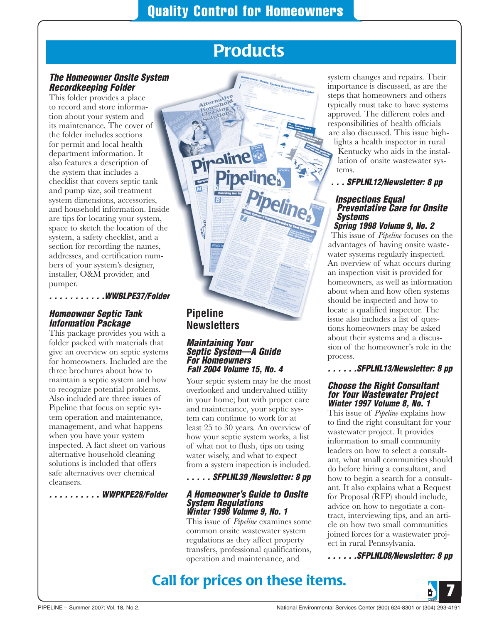# **Products**

### *The Homeowner Onsite System Recordkeeping Folder*

This folder provides a place to record and store information about your system and its maintenance. The cover of the folder includes sections for permit and local health department information. It also features a description of the system that includes a checklist that covers septic tank and pump size, soil treatment system dimensions, accessories, and household information. Inside are tips for locating your system, space to sketch the location of the system, a safety checklist, and a section for recording the names, addresses, and certification numbers of your system's designer, installer, O&M provider, and pumper.

*. . . . . . . . . . .WWBLPE37/Folder*

### *Homeowner Septic Tank Information Package*

This package provides you with a folder packed with materials that give an overview on septic systems for homeowners. Included are the three brochures about how to maintain a septic system and how to recognize potential problems. Also included are three issues of Pipeline that focus on septic system operation and maintenance, management, and what happens when you have your system inspected. A fact sheet on various alternative household cleaning solutions is included that offers safe alternatives over chemical cleansers.

*. . . . . . . . . . WWPKPE28/Folder* 

## **Pipeline Newsletters**

#### *Maintaining Your Septic System—A Guide For Homeowners Fall 2004 Volume 15, No. 4*

Your septic system may be the most overlooked and undervalued utility in your home; but with proper care and maintenance, your septic system can continue to work for at least 25 to 30 years. An overview of how your septic system works, a list of what not to flush, tips on using water wisely, and what to expect from a system inspection is included.

#### *. . . . . SFPLNL39 /Newsletter: 8 pp*

#### *A Homeowner's Guide to Onsite System Regulations Winter 1998 Volume 9, No. 1*

This issue of *Pipeline* examines some common onsite wastewater system regulations as they affect property transfers, professional qualifications, operation and maintenance, and

system changes and repairs. Their importance is discussed, as are the steps that homeowners and others typically must take to have systems approved. The different roles and responsibilities of health officials are also discussed. This issue high-

lights a health inspector in rural Kentucky who aids in the installation of onsite wastewater systems.

*. . . SFPLNL12/Newsletter: 8 pp*

#### *Inspections Equal Preventative Care for Onsite Systems Spring 1998 Volume 9, No. 2*

This issue of *Pipeline* focuses on the advantages of having onsite wastewater systems regularly inspected. An overview of what occurs during an inspection visit is provided for homeowners, as well as information about when and how often systems should be inspected and how to locate a qualified inspector. The issue also includes a list of questions homeowners may be asked about their systems and a discussion of the homeowner's role in the process.

*. . . . . .SFPLNL13/Newsletter: 8 pp*

#### *Choose the Right Consultant for Your Wastewater Project Winter 1997 Volume 8, No. 1*

This issue of *Pipeline* explains how to find the right consultant for your wastewater project. It provides information to small community leaders on how to select a consultant, what small communities should do before hiring a consultant, and how to begin a search for a consultant. It also explains what a Request for Proposal (RFP) should include, advice on how to negotiate a contract, interviewing tips, and an article on how two small communities joined forces for a wastewater project in rural Pennsylvania.

*. . . . . .SFPLNL08/Newsletter: 8 pp*

## **Call for prices on these items.**